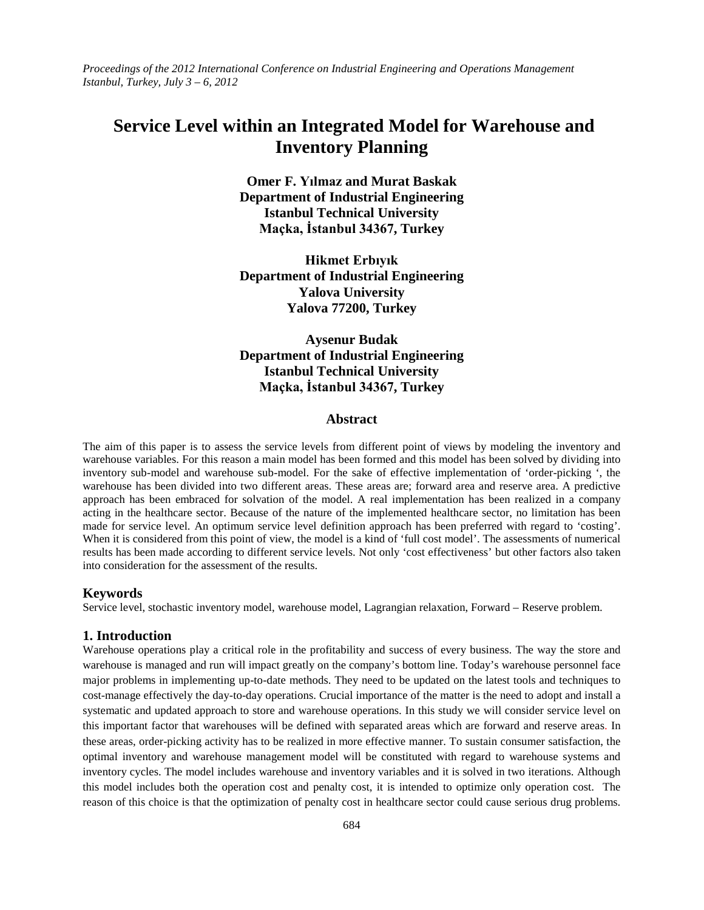*Proceedings of the 2012 International Conference on Industrial Engineering and Operations Management Istanbul, Turkey, July 3 – 6, 2012*

# **Service Level within an Integrated Model for Warehouse and Inventory Planning**

**Omer F. Yılmaz and Murat Baskak Department of Industrial Engineering Istanbul Technical University Maçka, İstanbul 34367, Turkey**

**Hikmet Erbıyık Department of Industrial Engineering Yalova University Yalova 77200, Turkey**

# **Aysenur Budak Department of Industrial Engineering Istanbul Technical University Maçka, İstanbul 34367, Turkey**

# **Abstract**

The aim of this paper is to assess the service levels from different point of views by modeling the inventory and warehouse variables. For this reason a main model has been formed and this model has been solved by dividing into inventory sub-model and warehouse sub-model. For the sake of effective implementation of 'order-picking ', the warehouse has been divided into two different areas. These areas are; forward area and reserve area. A predictive approach has been embraced for solvation of the model. A real implementation has been realized in a company acting in the healthcare sector. Because of the nature of the implemented healthcare sector, no limitation has been made for service level. An optimum service level definition approach has been preferred with regard to 'costing'. When it is considered from this point of view, the model is a kind of 'full cost model'. The assessments of numerical results has been made according to different service levels. Not only 'cost effectiveness' but other factors also taken into consideration for the assessment of the results.

#### **Keywords**

Service level, stochastic inventory model, warehouse model, Lagrangian relaxation, Forward – Reserve problem.

#### **1. Introduction**

Warehouse operations play a critical role in the profitability and success of every business. The way the store and warehouse is managed and run will impact greatly on the company's bottom line. Today's warehouse personnel face major problems in implementing up-to-date methods. They need to be updated on the latest tools and techniques to cost-manage effectively the day-to-day operations. Crucial importance of the matter is the need to adopt and install a systematic and updated approach to store and warehouse operations. In this study we will consider service level on this important factor that warehouses will be defined with separated areas which are forward and reserve areas. In these areas, order-picking activity has to be realized in more effective manner. To sustain consumer satisfaction, the optimal inventory and warehouse management model will be constituted with regard to warehouse systems and inventory cycles. The model includes warehouse and inventory variables and it is solved in two iterations. Although this model includes both the operation cost and penalty cost, it is intended to optimize only operation cost. The reason of this choice is that the optimization of penalty cost in healthcare sector could cause serious drug problems.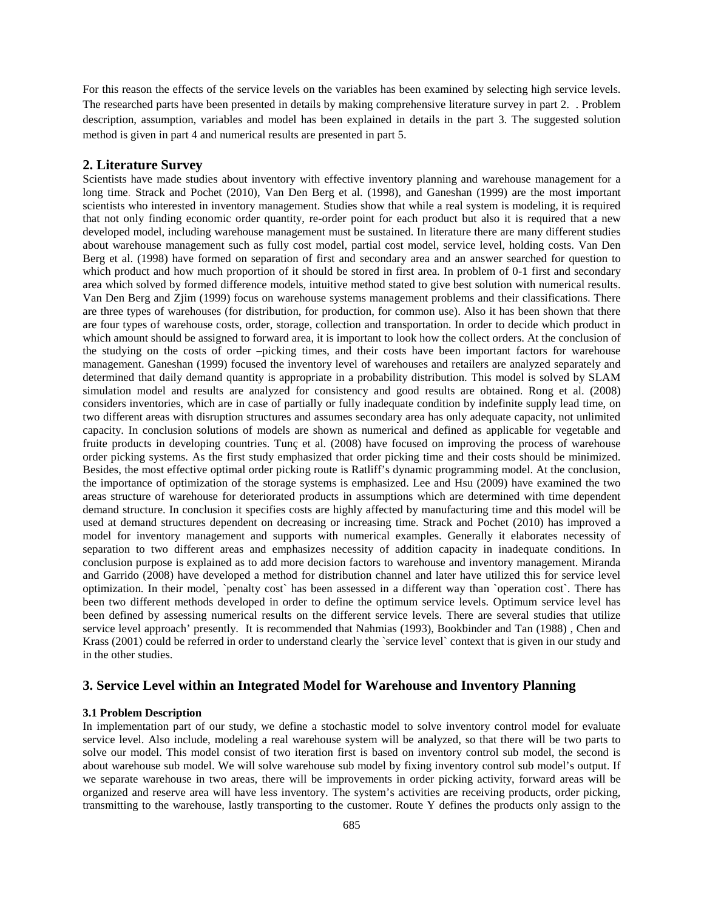For this reason the effects of the service levels on the variables has been examined by selecting high service levels. The researched parts have been presented in details by making comprehensive literature survey in part 2. . Problem description, assumption, variables and model has been explained in details in the part 3. The suggested solution method is given in part 4 and numerical results are presented in part 5.

#### **2. Literature Survey**

Scientists have made studies about inventory with effective inventory planning and warehouse management for a long time. Strack and Pochet (2010), Van Den Berg et al. (1998), and Ganeshan (1999) are the most important scientists who interested in inventory management. Studies show that while a real system is modeling, it is required that not only finding economic order quantity, re-order point for each product but also it is required that a new developed model, including warehouse management must be sustained. In literature there are many different studies about warehouse management such as fully cost model, partial cost model, service level, holding costs. Van Den Berg et al. (1998) have formed on separation of first and secondary area and an answer searched for question to which product and how much proportion of it should be stored in first area. In problem of 0-1 first and secondary area which solved by formed difference models, intuitive method stated to give best solution with numerical results. Van Den Berg and Zjim (1999) focus on warehouse systems management problems and their classifications. There are three types of warehouses (for distribution, for production, for common use). Also it has been shown that there are four types of warehouse costs, order, storage, collection and transportation. In order to decide which product in which amount should be assigned to forward area, it is important to look how the collect orders. At the conclusion of the studying on the costs of order –picking times, and their costs have been important factors for warehouse management. Ganeshan (1999) focused the inventory level of warehouses and retailers are analyzed separately and determined that daily demand quantity is appropriate in a probability distribution. This model is solved by SLAM simulation model and results are analyzed for consistency and good results are obtained. Rong et al. (2008) considers inventories, which are in case of partially or fully inadequate condition by indefinite supply lead time, on two different areas with disruption structures and assumes secondary area has only adequate capacity, not unlimited capacity. In conclusion solutions of models are shown as numerical and defined as applicable for vegetable and fruite products in developing countries. Tunç et al. (2008) have focused on improving the process of warehouse order picking systems. As the first study emphasized that order picking time and their costs should be minimized. Besides, the most effective optimal order picking route is Ratliff's dynamic programming model. At the conclusion, the importance of optimization of the storage systems is emphasized. Lee and Hsu (2009) have examined the two areas structure of warehouse for deteriorated products in assumptions which are determined with time dependent demand structure. In conclusion it specifies costs are highly affected by manufacturing time and this model will be used at demand structures dependent on decreasing or increasing time. Strack and Pochet (2010) has improved a model for inventory management and supports with numerical examples. Generally it elaborates necessity of separation to two different areas and emphasizes necessity of addition capacity in inadequate conditions. In conclusion purpose is explained as to add more decision factors to warehouse and inventory management. Miranda and Garrido (2008) have developed a method for distribution channel and later have utilized this for service level optimization. In their model, `penalty cost` has been assessed in a different way than `operation cost`. There has been two different methods developed in order to define the optimum service levels. Optimum service level has been defined by assessing numerical results on the different service levels. There are several studies that utilize service level approach' presently. It is recommended that Nahmias (1993), Bookbinder and Tan (1988) , Chen and Krass (2001) could be referred in order to understand clearly the `service level` context that is given in our study and in the other studies.

# **3. Service Level within an Integrated Model for Warehouse and Inventory Planning**

# **3.1 Problem Description**

In implementation part of our study, we define a stochastic model to solve inventory control model for evaluate service level. Also include, modeling a real warehouse system will be analyzed, so that there will be two parts to solve our model. This model consist of two iteration first is based on inventory control sub model, the second is about warehouse sub model. We will solve warehouse sub model by fixing inventory control sub model's output. If we separate warehouse in two areas, there will be improvements in order picking activity, forward areas will be organized and reserve area will have less inventory. The system's activities are receiving products, order picking, transmitting to the warehouse, lastly transporting to the customer. Route Y defines the products only assign to the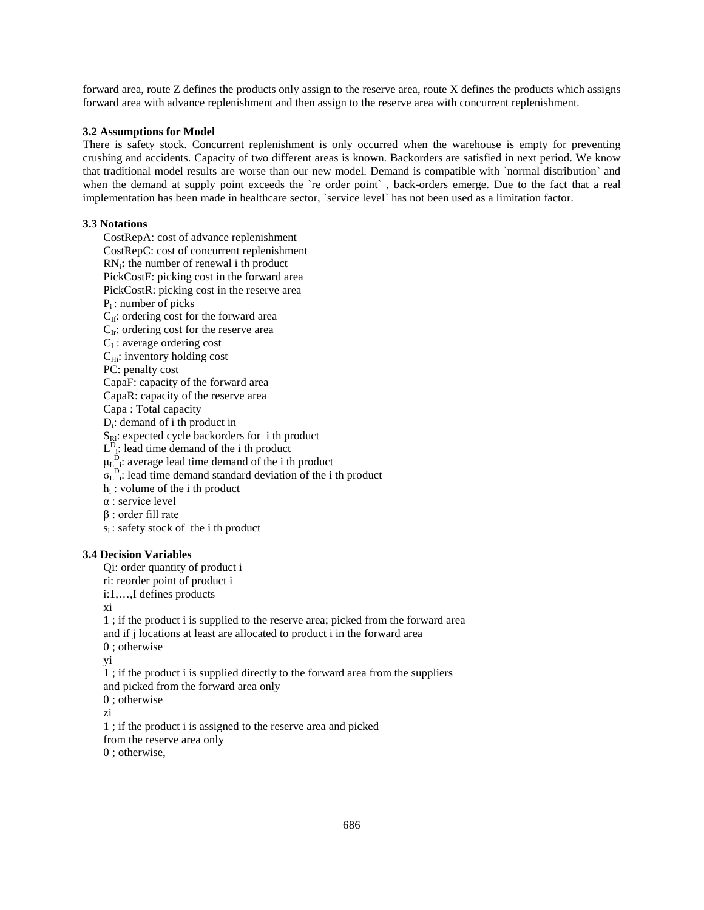forward area, route Z defines the products only assign to the reserve area, route X defines the products which assigns forward area with advance replenishment and then assign to the reserve area with concurrent replenishment.

#### **3.2 Assumptions for Model**

There is safety stock. Concurrent replenishment is only occurred when the warehouse is empty for preventing crushing and accidents. Capacity of two different areas is known. Backorders are satisfied in next period. We know that traditional model results are worse than our new model. Demand is compatible with `normal distribution` and when the demand at supply point exceeds the 're order point', back-orders emerge. Due to the fact that a real implementation has been made in healthcare sector, `service level` has not been used as a limitation factor.

#### **3.3 Notations**

CostRepA: cost of advance replenishment CostRepC: cost of concurrent replenishment RNi**:** the number of renewal i th product PickCostF: picking cost in the forward area PickCostR: picking cost in the reserve area  $P_i$ : number of picks C<sub>If</sub>: ordering cost for the forward area  $C_{Ir}$ : ordering cost for the reserve area  $C_I$ : average ordering cost  $C_{Hi}$ : inventory holding cost PC: penalty cost CapaF: capacity of the forward area CapaR: capacity of the reserve area Capa : Total capacity Di: demand of i th product in  $S_{\text{R}i}$ : expected cycle backorders for i th product  $L^D_{i}$ : lead time demand of the i th product  $\mu_{L_i}^{D}$ : average lead time demand of the i th product  $\sigma_{L}^{D}$ : lead time demand standard deviation of the i th product  $h_i$ : volume of the i th product α : service level β : order fill rate  $s_i$ : safety stock of the i th product

# **3.4 Decision Variables**

Qi: order quantity of product i

ri: reorder point of product i

i:1,…,I defines products

xi

1 ; if the product i is supplied to the reserve area; picked from the forward area and if j locations at least are allocated to product i in the forward area

0 ; otherwise

yi

1 ; if the product i is supplied directly to the forward area from the suppliers

and picked from the forward area only

0 ; otherwise

zi

1 ; if the product i is assigned to the reserve area and picked from the reserve area only

0 ; otherwise,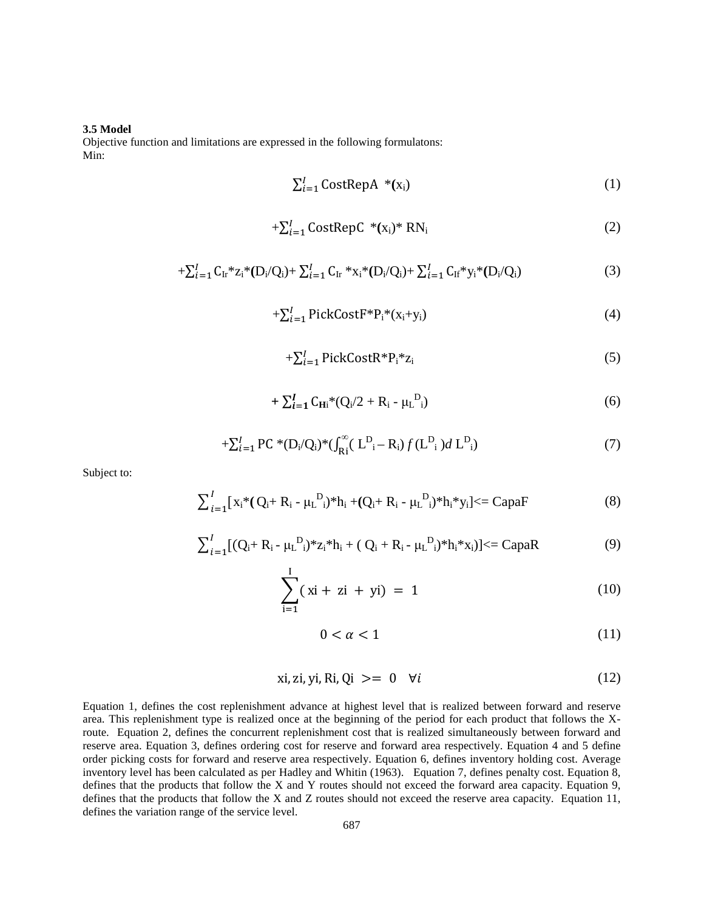#### **3.5 Model**

Objective function and limitations are expressed in the following formulatons: Min:

$$
\sum_{i=1}^{I} CostRepA * (x_i)
$$
 (1)

$$
+\sum_{i=1}^{I} CostRepC * (x_i) * RN_i
$$
 (2)

$$
+\sum_{i=1}^{I} C_{\text{Ir}} \times z_i \times (D_i/Q_i) + \sum_{i=1}^{I} C_{\text{Ir}} \times x_i \times (D_i/Q_i) + \sum_{i=1}^{I} C_{\text{If}} \times y_i \times (D_i/Q_i)
$$
(3)

$$
+\sum_{i=1}^{I} \text{PickCostF*}P_i*(x_i+y_i) \tag{4}
$$

$$
+\sum_{i=1}^{I} \text{PickCostR}^* P_i^* z_i \tag{5}
$$

$$
+\sum_{i=1}^{I} C_{\mathbf{H}i} * (Q_i/2 + R_i - \mu_L^{D_i})
$$
\n(6)

$$
+\sum_{i=1}^{I} PC^*(D_i/Q_i)^*(\int_{Ri}^{\infty} (L_{i}^D - R_i) f(L_{i}^D) d L_{i}^D)
$$
\n(7)

Subject to:

$$
\sum_{i=1}^{I} [x_i^*(Q_i + R_i - \mu_L^D_i)^* h_i + (Q_i + R_i - \mu_L^D_i)^* h_i^* y_i] \leq CapaF
$$
 (8)

$$
\sum_{i=1}^{I} [(Q_i + R_i - \mu_L^{D_i})^* z_i^* h_i + (Q_i + R_i - \mu_L^{D_i})^* h_i^* x_i)] \leq CapaR
$$
 (9)

$$
\sum_{i=1}^{1} (xi + zi + yi) = 1
$$
 (10)

$$
0 < \alpha < 1 \tag{11}
$$

$$
xi, zi, yi, Ri, Qi \geq 0 \quad \forall i \tag{12}
$$

Equation 1, defines the cost replenishment advance at highest level that is realized between forward and reserve area. This replenishment type is realized once at the beginning of the period for each product that follows the Xroute. Equation 2, defines the concurrent replenishment cost that is realized simultaneously between forward and reserve area. Equation 3, defines ordering cost for reserve and forward area respectively. Equation 4 and 5 define order picking costs for forward and reserve area respectively. Equation 6, defines inventory holding cost. Average inventory level has been calculated as per Hadley and Whitin (1963). Equation 7, defines penalty cost. Equation 8, defines that the products that follow the X and Y routes should not exceed the forward area capacity. Equation 9, defines that the products that follow the X and Z routes should not exceed the reserve area capacity. Equation 11, defines the variation range of the service level.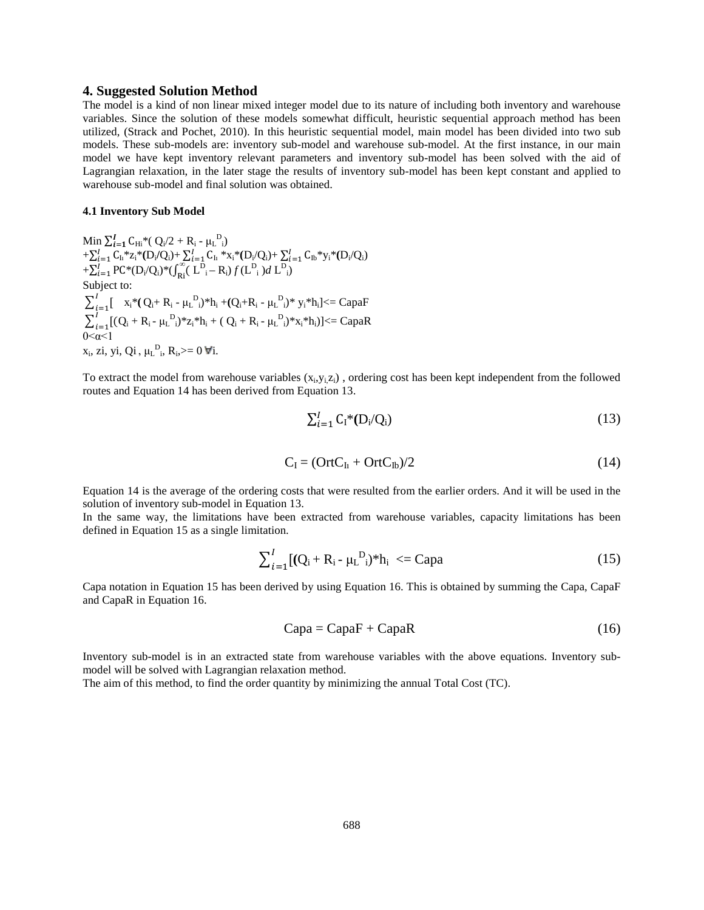#### **4. Suggested Solution Method**

The model is a kind of non linear mixed integer model due to its nature of including both inventory and warehouse variables. Since the solution of these models somewhat difficult, heuristic sequential approach method has been utilized, (Strack and Pochet, 2010). In this heuristic sequential model, main model has been divided into two sub models. These sub-models are: inventory sub-model and warehouse sub-model. At the first instance, in our main model we have kept inventory relevant parameters and inventory sub-model has been solved with the aid of Lagrangian relaxation, in the later stage the results of inventory sub-model has been kept constant and applied to warehouse sub-model and final solution was obtained.

#### **4.1 Inventory Sub Model**

Min  $\sum_{i=1}^{I} C_{\text{Hi}}$ \*( Q<sub>i</sub>/2 + R<sub>i</sub> -  $\mu_{\text{L}}^{\text{D}}$ <sub>i</sub>)  $+\sum_{i=1}^{l} C_{Ii} * z_i * (D_i/Q_i) + \sum_{i=1}^{l} C_{Ii} * x_i * (D_i/Q_i) + \sum_{i=1}^{l} C_{Ib} * y_i * (D_i/Q_i)$  $+\sum_{i=1}^{I} PC*(D_i/Q_i)*( \int_{R_i}^{\infty} (L_{i}^{D_i} - R_i) f(L_{i}^{D_i}) dL_{i}^{D_i})$ Subject to:  $\sum_{i=1}^{I}$ [  $x_i^*(Q_i + R_i - \mu_L^D_i)^*h_i + (Q_i + R_i - \mu_L^D_i)^* y_i^*h_i$ ] <  $= CapaF$  $\sum_{i=1}^{I} [(Q_i + R_i - \mu_L^D_i)^* z_i^* h_i + (Q_i + R_i - \mu_L^D_i)^* x_i^* h_i)] \leq CapaR$  $0 < \alpha < 1$  $x_i$ , zi, yi, Qi,  $\mu_L^D$ <sub>i</sub>, R<sub>i</sub>, >= 0  $\forall i$ .

To extract the model from warehouse variables  $(x_i, y_i, z_i)$ , ordering cost has been kept independent from the followed routes and Equation 14 has been derived from Equation 13.

$$
\sum_{i=1}^{I} C_{i}^{*}(D_{i}/Q_{i})
$$
\n(13)

$$
C_{I} = (OrtC_{It} + OrtC_{Ib})/2
$$
\n(14)

Equation 14 is the average of the ordering costs that were resulted from the earlier orders. And it will be used in the solution of inventory sub-model in Equation 13.

In the same way, the limitations have been extracted from warehouse variables, capacity limitations has been defined in Equation 15 as a single limitation.

$$
\sum_{i=1}^{I} [(Q_i + R_i - \mu_L^D)^* h_i] \leq Capa \tag{15}
$$

Capa notation in Equation 15 has been derived by using Equation 16. This is obtained by summing the Capa, CapaF and CapaR in Equation 16.

$$
Capa = CapaF + CapaR
$$
 (16)

Inventory sub-model is in an extracted state from warehouse variables with the above equations. Inventory submodel will be solved with Lagrangian relaxation method.

The aim of this method, to find the order quantity by minimizing the annual Total Cost (TC).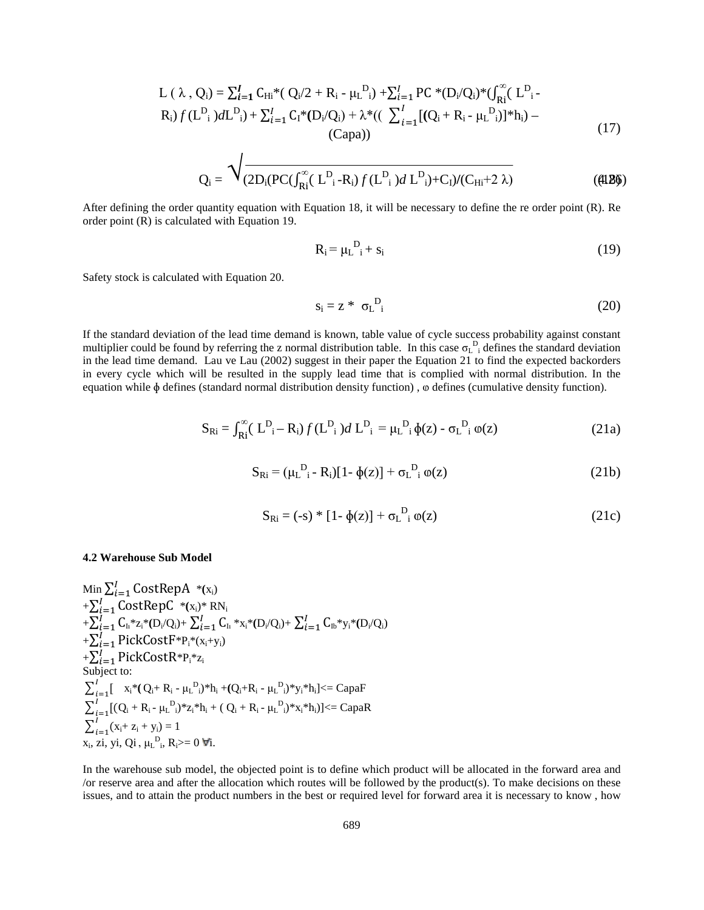$$
L(\lambda, Q_i) = \sum_{i=1}^{I} C_{Hi} * (Q_i/2 + R_i - \mu_L^{D_i}) + \sum_{i=1}^{I} PC * (D_i/Q_i) * ( \int_{R_i}^{\infty} (L_{i}^{D_i} - R_i) f (L_{i}^{D_i}) dL_{i}^{D_i}) + \sum_{i=1}^{I} C_i * (D_i/Q_i) + \lambda * ( ( \sum_{i=1}^{I} [(Q_i + R_i - \mu_L^{D_i})] * h_i) - (Capa))
$$
\n(17)

$$
Q_{i} = \sqrt{\frac{1}{(2D_{i}(PC(\int_{Ri}^{\infty} (L^{D}_{i} - R_{i}) f(L^{D}_{i}) d L^{D}_{i}) + C_{I})/(C_{Hi} + 2 \lambda)}}
$$
(4126)

After defining the order quantity equation with Equation 18, it will be necessary to define the re order point (R). Re order point (R) is calculated with Equation 19.

$$
\mathbf{R}_{\mathbf{i}} = \mu_{\mathbf{L}}^{\mathbf{D}} \mathbf{i} + \mathbf{s}_{\mathbf{i}} \tag{19}
$$

Safety stock is calculated with Equation 20.

$$
s_i = z * \sigma L_i^D
$$
 (20)

If the standard deviation of the lead time demand is known, table value of cycle success probability against constant multiplier could be found by referring the z normal distribution table. In this case  $\sigma_L^D$  defines the standard deviation in the lead time demand. Lau ve Lau (2002) suggest in their paper the Equation 21 to find the expected backorders in every cycle which will be resulted in the supply lead time that is complied with normal distribution. In the equation while  $\phi$  defines (standard normal distribution density function),  $\phi$  defines (cumulative density function).

$$
S_{\text{Ri}} = \int_{\text{Ri}}^{\infty} (L_{i}^{D} - R_{i}) f(L_{i}^{D}) dL_{i}^{D} = \mu_{L}^{D} \phi(z) - \sigma_{L}^{D} \phi(z)
$$
 (21a)

$$
S_{\text{Ri}} = (\mu_{\text{L}}^{\text{D}} - R_{\text{i}})[1 - \phi(z)] + \sigma_{\text{L}}^{\text{D}} \phi(z)
$$
 (21b)

$$
S_{\text{Ri}} = (-s) * [1 - \phi(z)] + \sigma_{\text{L}}^{\text{D}}{}_{i} \omega(z)
$$
 (21c)

#### **4.2 Warehouse Sub Model**

 $\lim_{n \to \infty} \sum_{i=1}^{l} \text{CostRepA}$  \*(x<sub>i</sub>)  $+\sum_{i=1}^{I}$ CostRepC \*(x<sub>i</sub>)\* RN<sub>i</sub>  $+\sum_{i=1}^{l}\sum_{\rm h}^{*}{\rm z}_{\rm i} {}^{*}({\rm D}_{\rm i}/{\rm Q}_{\rm i})+\sum_{i=1}^{l}{\rm C}_{\rm h} \ {}^{*}x_{\rm i} {}^{*}({\rm D}_{\rm i}/{\rm Q}_{\rm i})+\sum_{i=1}^{l}{\rm C}_{\rm h} {}^{*}y_{\rm i} {}^{*}({\rm D}_{\rm i}/{\rm Q}_{\rm i})$  $+\sum_{i=1}^{I} \text{PickCostF} * P_i * (x_i+y_i)$  $+\sum_{i=1}^{I} \mathsf{PickCostR} * \mathsf{P_i} * \mathsf{Z_i}$ Subject to:  $\sum_{i=1}^{I}$ [  $x_i^*(Q_i + R_i - \mu_L^D_i)^*h_i + (Q_i + R_i - \mu_L^D_i)^*y_i^*h_i$ ] < = CapaF  $\sum_{i=1}^{I} [(Q_i + R_i - \mu_L^D_i)^* z_i^* h_i + (Q_i + R_i - \mu_L^D_i)^* x_i^* h_i)] \leq CapaR$  $\sum_{i=1}^{I} (x_i + z_i + y_i) = 1$  $x_i$ , zi, yi, Qi,  $\mu_L^D$ <sub>i</sub>, R<sub>i</sub> $> = 0$   $\forall i$ .

In the warehouse sub model, the objected point is to define which product will be allocated in the forward area and /or reserve area and after the allocation which routes will be followed by the product(s). To make decisions on these issues, and to attain the product numbers in the best or required level for forward area it is necessary to know , how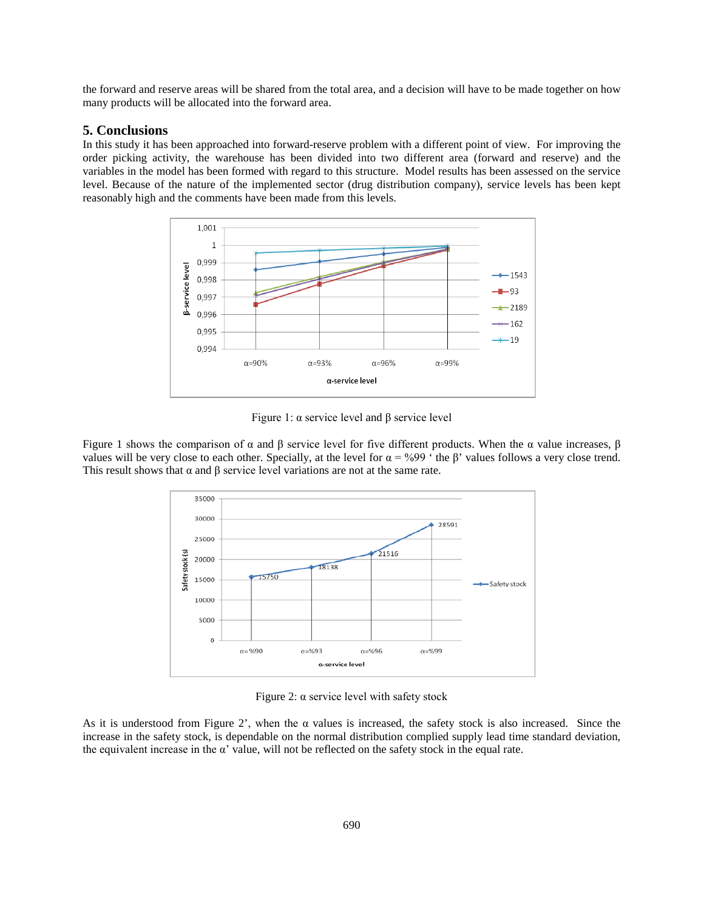the forward and reserve areas will be shared from the total area, and a decision will have to be made together on how many products will be allocated into the forward area.

#### **5. Conclusions**

In this study it has been approached into forward-reserve problem with a different point of view. For improving the order picking activity, the warehouse has been divided into two different area (forward and reserve) and the variables in the model has been formed with regard to this structure. Model results has been assessed on the service level. Because of the nature of the implemented sector (drug distribution company), service levels has been kept reasonably high and the comments have been made from this levels.



Figure 1:  $\alpha$  service level and β service level

Figure 1 shows the comparison of  $\alpha$  and  $\beta$  service level for five different products. When the  $\alpha$  value increases,  $\beta$ values will be very close to each other. Specially, at the level for  $\alpha = \frac{9}{99}$  ' the β' values follows a very close trend. This result shows that  $\alpha$  and  $\beta$  service level variations are not at the same rate.



Figure 2:  $\alpha$  service level with safety stock

As it is understood from Figure 2', when the  $\alpha$  values is increased, the safety stock is also increased. Since the increase in the safety stock, is dependable on the normal distribution complied supply lead time standard deviation, the equivalent increase in the  $\alpha'$  value, will not be reflected on the safety stock in the equal rate.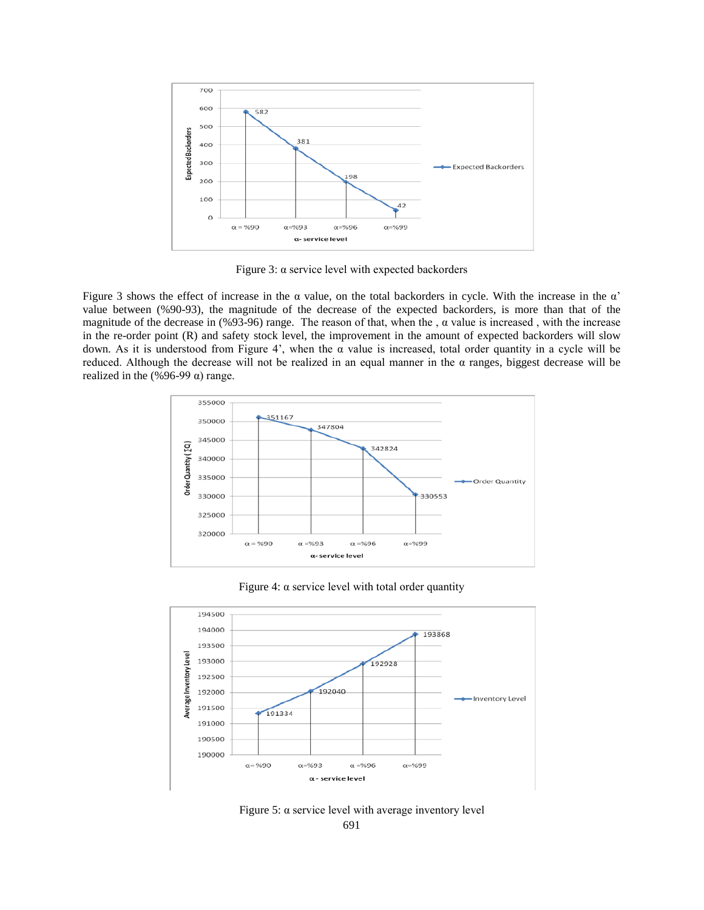

Figure 3: α service level with expected backorders

Figure 3 shows the effect of increase in the  $\alpha$  value, on the total backorders in cycle. With the increase in the  $\alpha'$ value between (%90-93), the magnitude of the decrease of the expected backorders, is more than that of the magnitude of the decrease in (%93-96) range. The reason of that, when the ,  $\alpha$  value is increased, with the increase in the re-order point (R) and safety stock level, the improvement in the amount of expected backorders will slow down. As it is understood from Figure 4', when the α value is increased, total order quantity in a cycle will be reduced. Although the decrease will not be realized in an equal manner in the α ranges, biggest decrease will be realized in the  $(\frac{696-99}{\alpha})$  range.



Figure 4:  $\alpha$  service level with total order quantity



691 Figure 5:  $\alpha$  service level with average inventory level